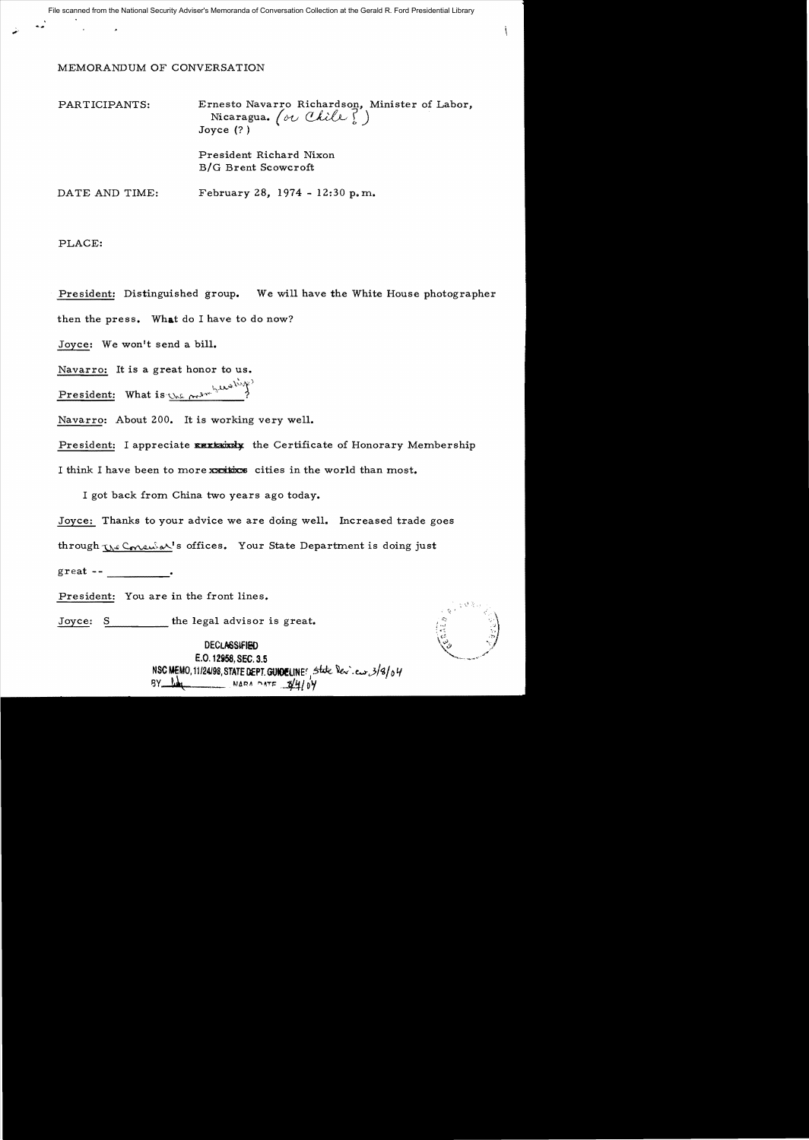File scanned from the National Security Adviser's Memoranda of Conversation Collection at the Gerald R. Ford Presidential Library

## MEMORANDUM OF CONVERSATION

| PARTICIPANTS:  | Ernesto Navarro Richardson, Minister of Labor,<br>Nicaragua. (or Chile?)<br>Joyce $(?)$ |
|----------------|-----------------------------------------------------------------------------------------|
|                | President Richard Nixon<br>B/G Brent Scowcroft                                          |
| DATE AND TIME: | February 28, 1974 - 12:30 p.m.                                                          |

PLACE:

President: Distinguished group. We will have the White House photographer then the press. What do I have to do now?

Joyce: We won't send a bill.

Navarro: It is a great honor to us.

 $\frac{\text{President:}}{\text{What is:~} \dots \dots \dots \dots}$ 

Navarro: About 200. It is working very well.

President: I appreciate EXXXXX the Certificate of Honorary Membership I think I have been to more xxxitix: cities in the world than most.

I got back from China two years ago today.

Joyce: Thanks to your advice we are doing well. Increased trade goes

through W Consulat's offices. Your State Department is doing just

great -- \_\_\_\_\_

President: You are in the front lines.

Joyce: S the legal advisor is great.

**DECLASSIFIED** E.O. 12858, SEC. 3.5 NSC MEMO, 11*124198*, STATE DEPT. GUNDELINE<sup>f</sup>, Stote Dev. en: 3/8/04<br>8Y Day



ţ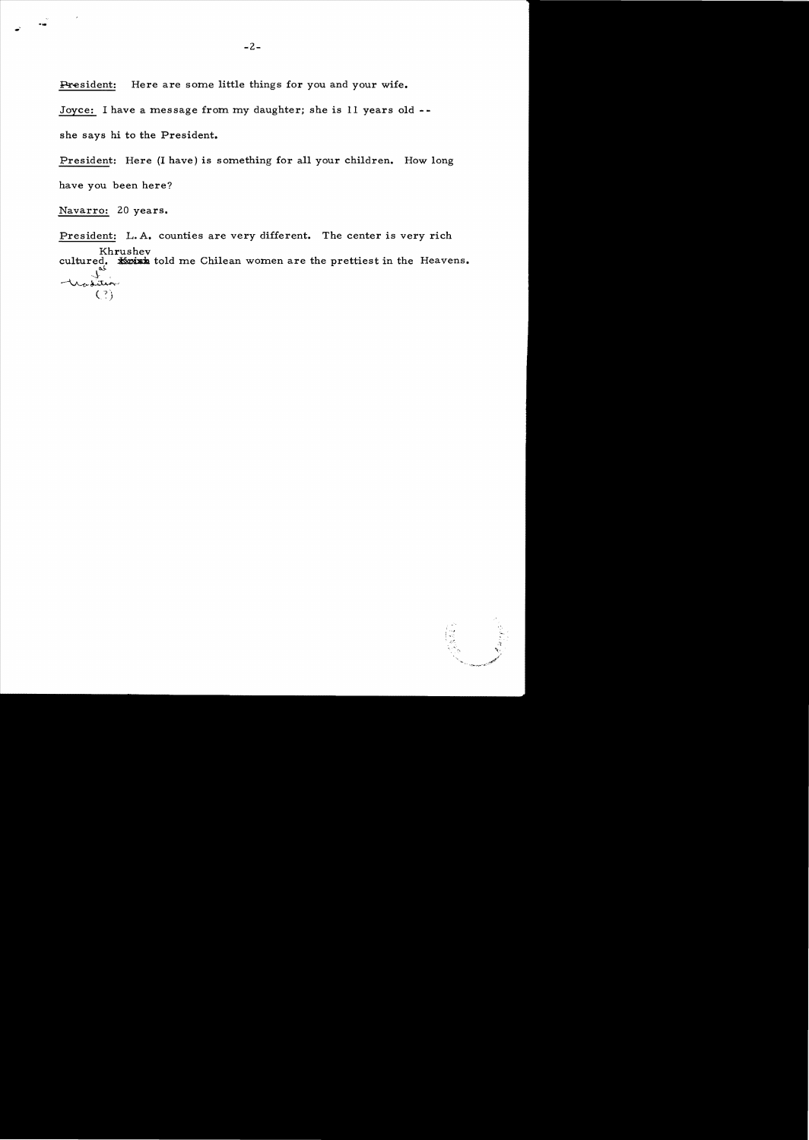President: Here are some little things for you and your wife.

Joyce: I have a message from my daughter; she is 11 years old

she says hi to the President.

President: Here (I have) is something for all your children. How long have you been here?

Navarro: 20 years.

...

President: L. A. counties are very different. The center is very rich Khrushev cultured. **Koish** told me Chilean women are the prettiest in the Heavens.  $\mathcal{F}^{\mathbf{s}}$  , -~.j.;.:u...... ,  $(?)$